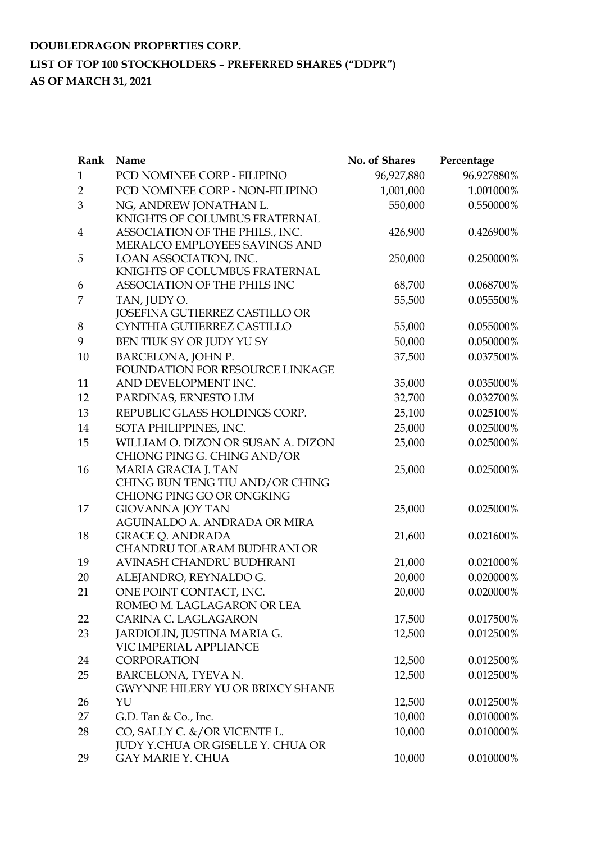| Rank           | Name                                                   | No. of Shares | Percentage |
|----------------|--------------------------------------------------------|---------------|------------|
| $\mathbf{1}$   | PCD NOMINEE CORP - FILIPINO                            | 96,927,880    | 96.927880% |
| $\overline{2}$ | PCD NOMINEE CORP - NON-FILIPINO                        | 1,001,000     | 1.001000%  |
| 3              | NG, ANDREW JONATHAN L.                                 | 550,000       | 0.550000%  |
|                | KNIGHTS OF COLUMBUS FRATERNAL                          |               |            |
| 4              | ASSOCIATION OF THE PHILS., INC.                        | 426,900       | 0.426900%  |
|                | MERALCO EMPLOYEES SAVINGS AND                          |               |            |
| 5              | LOAN ASSOCIATION, INC.                                 | 250,000       | 0.250000%  |
|                | KNIGHTS OF COLUMBUS FRATERNAL                          |               |            |
| 6              | ASSOCIATION OF THE PHILS INC                           | 68,700        | 0.068700%  |
| 7              | TAN, JUDY O.                                           | 55,500        | 0.055500%  |
|                | JOSEFINA GUTIERREZ CASTILLO OR                         |               |            |
| 8              | CYNTHIA GUTIERREZ CASTILLO                             | 55,000        | 0.055000%  |
| 9              | BEN TIUK SY OR JUDY YU SY                              | 50,000        | 0.050000%  |
| 10             | BARCELONA, JOHN P.                                     | 37,500        | 0.037500%  |
|                | FOUNDATION FOR RESOURCE LINKAGE                        |               |            |
| 11             | AND DEVELOPMENT INC.                                   | 35,000        | 0.035000%  |
| 12             | PARDINAS, ERNESTO LIM                                  | 32,700        | 0.032700%  |
| 13             | REPUBLIC GLASS HOLDINGS CORP.                          | 25,100        | 0.025100%  |
| 14             | SOTA PHILIPPINES, INC.                                 | 25,000        | 0.025000%  |
| 15             | WILLIAM O. DIZON OR SUSAN A. DIZON                     | 25,000        | 0.025000%  |
|                | CHIONG PING G. CHING AND/OR                            |               |            |
| 16             | MARIA GRACIA J. TAN                                    | 25,000        | 0.025000%  |
|                | CHING BUN TENG TIU AND/OR CHING                        |               |            |
|                | CHIONG PING GO OR ONGKING                              |               |            |
| 17             | <b>GIOVANNA JOY TAN</b>                                | 25,000        | 0.025000%  |
|                | AGUINALDO A. ANDRADA OR MIRA                           |               |            |
| 18             | <b>GRACE Q. ANDRADA</b><br>CHANDRU TOLARAM BUDHRANI OR | 21,600        | 0.021600%  |
| 19             | AVINASH CHANDRU BUDHRANI                               | 21,000        | 0.021000%  |
| 20             |                                                        | 20,000        | 0.020000%  |
|                | ALEJANDRO, REYNALDO G.                                 |               |            |
| 21             | ONE POINT CONTACT, INC.<br>ROMEO M. LAGLAGARON OR LEA  | 20,000        | 0.020000%  |
| 22             | CARINA C. LAGLAGARON                                   | 17,500        | 0.017500%  |
| 23             |                                                        | 12,500        | 0.012500%  |
|                | JARDIOLIN, JUSTINA MARIA G.<br>VIC IMPERIAL APPLIANCE  |               |            |
| 24             | <b>CORPORATION</b>                                     | 12,500        | 0.012500%  |
| 25             | BARCELONA, TYEVA N.                                    | 12,500        | 0.012500%  |
|                | <b>GWYNNE HILERY YU OR BRIXCY SHANE</b>                |               |            |
| 26             | YU                                                     | 12,500        | 0.012500%  |
| 27             | G.D. Tan $& Co., Inc.$                                 | 10,000        | 0.010000%  |
| 28             | CO, SALLY C. &/OR VICENTE L.                           | 10,000        | 0.010000%  |
|                | JUDY Y.CHUA OR GISELLE Y. CHUA OR                      |               |            |
| 29             | <b>GAY MARIE Y. CHUA</b>                               | 10,000        | 0.010000%  |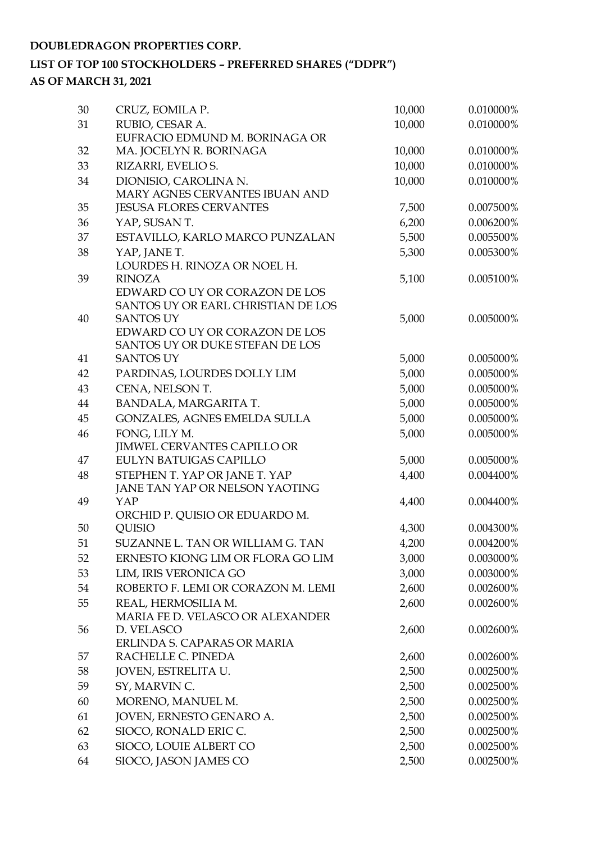#### **DOUBLEDRAGON PROPERTIES CORP.**

### **LIST OF TOP 100 STOCKHOLDERS – PREFERRED SHARES ("DDPR") AS OF MARCH 31, 2021**

| 30 | CRUZ, EOMILA P.                                        | 10,000 | 0.010000% |
|----|--------------------------------------------------------|--------|-----------|
| 31 | RUBIO, CESAR A.                                        | 10,000 | 0.010000% |
|    | EUFRACIO EDMUND M. BORINAGA OR                         |        |           |
| 32 | MA. JOCELYN R. BORINAGA                                | 10,000 | 0.010000% |
| 33 | RIZARRI, EVELIO S.                                     | 10,000 | 0.010000% |
| 34 | DIONISIO, CAROLINA N.                                  | 10,000 | 0.010000% |
|    | MARY AGNES CERVANTES IBUAN AND                         |        |           |
| 35 | <b>JESUSA FLORES CERVANTES</b>                         | 7,500  | 0.007500% |
| 36 | YAP, SUSAN T.                                          | 6,200  | 0.006200% |
| 37 | ESTAVILLO, KARLO MARCO PUNZALAN                        | 5,500  | 0.005500% |
| 38 | YAP, JANE T.                                           | 5,300  | 0.005300% |
|    | LOURDES H. RINOZA OR NOEL H.                           |        |           |
| 39 | <b>RINOZA</b>                                          | 5,100  | 0.005100% |
|    | EDWARD CO UY OR CORAZON DE LOS                         |        |           |
| 40 | SANTOS UY OR EARL CHRISTIAN DE LOS<br><b>SANTOS UY</b> |        | 0.005000% |
|    | EDWARD CO UY OR CORAZON DE LOS                         | 5,000  |           |
|    | SANTOS UY OR DUKE STEFAN DE LOS                        |        |           |
| 41 | <b>SANTOS UY</b>                                       | 5,000  | 0.005000% |
| 42 | PARDINAS, LOURDES DOLLY LIM                            | 5,000  | 0.005000% |
| 43 | CENA, NELSON T.                                        | 5,000  | 0.005000% |
| 44 | BANDALA, MARGARITA T.                                  | 5,000  | 0.005000% |
| 45 | GONZALES, AGNES EMELDA SULLA                           | 5,000  | 0.005000% |
| 46 | FONG, LILY M.                                          | 5,000  | 0.005000% |
|    | <b>JIMWEL CERVANTES CAPILLO OR</b>                     |        |           |
| 47 | EULYN BATUIGAS CAPILLO                                 | 5,000  | 0.005000% |
| 48 | STEPHEN T. YAP OR JANE T. YAP                          | 4,400  | 0.004400% |
|    | JANE TAN YAP OR NELSON YAOTING                         |        |           |
| 49 | YAP                                                    | 4,400  | 0.004400% |
|    | ORCHID P. QUISIO OR EDUARDO M.                         |        |           |
| 50 | <b>QUISIO</b>                                          | 4,300  | 0.004300% |
| 51 | SUZANNE L. TAN OR WILLIAM G. TAN                       | 4,200  | 0.004200% |
| 52 | ERNESTO KIONG LIM OR FLORA GO LIM                      | 3,000  | 0.003000% |
| 53 | LIM, IRIS VERONICA GO                                  | 3,000  | 0.003000% |
| 54 | ROBERTO F. LEMI OR CORAZON M. LEMI                     | 2,600  | 0.002600% |
| 55 | REAL, HERMOSILIA M.                                    | 2,600  | 0.002600% |
|    | MARIA FE D. VELASCO OR ALEXANDER                       |        |           |
| 56 | D. VELASCO                                             | 2,600  | 0.002600% |
|    | ERLINDA S. CAPARAS OR MARIA                            |        |           |
| 57 | RACHELLE C. PINEDA                                     | 2,600  | 0.002600% |
| 58 | JOVEN, ESTRELITA U.                                    | 2,500  | 0.002500% |
| 59 | SY, MARVIN C.                                          | 2,500  | 0.002500% |
| 60 | MORENO, MANUEL M.                                      | 2,500  | 0.002500% |
| 61 | JOVEN, ERNESTO GENARO A.                               | 2,500  | 0.002500% |
| 62 | SIOCO, RONALD ERIC C.                                  | 2,500  | 0.002500% |
| 63 | SIOCO, LOUIE ALBERT CO                                 | 2,500  | 0.002500% |
| 64 | SIOCO, JASON JAMES CO                                  | 2,500  | 0.002500% |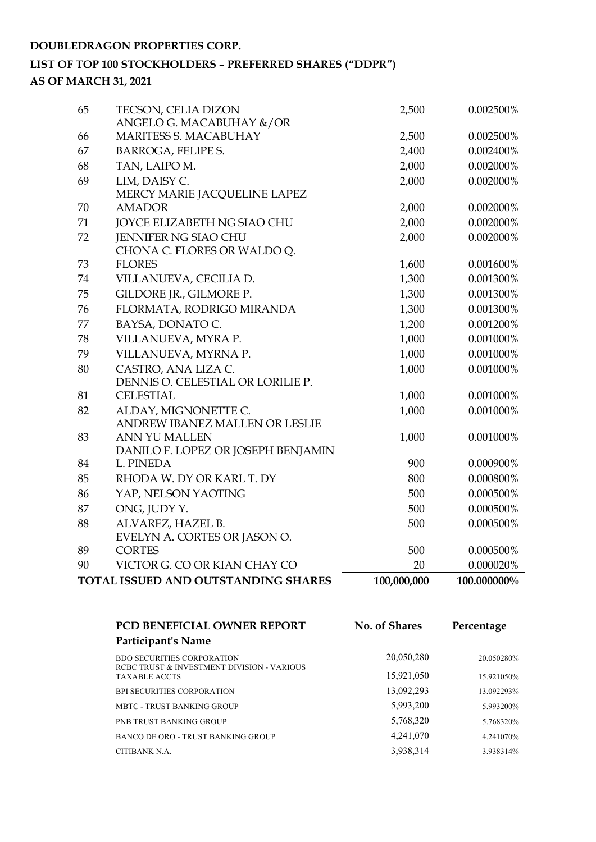#### **DOUBLEDRAGON PROPERTIES CORP.**

#### **LIST OF TOP 100 STOCKHOLDERS – PREFERRED SHARES ("DDPR") AS OF MARCH 31, 2021**

|    | TOTAL ISSUED AND OUTSTANDING SHARES                   | 100,000,000 | 100.000000% |
|----|-------------------------------------------------------|-------------|-------------|
| 90 | VICTOR G. CO OR KIAN CHAY CO                          | 20          | 0.000020%   |
| 89 | <b>CORTES</b>                                         | 500         | 0.000500%   |
|    | EVELYN A. CORTES OR JASON O.                          |             |             |
| 88 | ALVAREZ, HAZEL B.                                     | 500         | 0.000500%   |
| 87 | ONG, JUDY Y.                                          | 500         | 0.000500%   |
| 86 | YAP, NELSON YAOTING                                   | 500         | 0.000500%   |
| 85 | RHODA W. DY OR KARL T. DY                             | 800         | 0.000800%   |
| 84 | L. PINEDA                                             | 900         | 0.000900%   |
|    | DANILO F. LOPEZ OR JOSEPH BENJAMIN                    |             |             |
| 83 | ANN YU MALLEN                                         | 1,000       | 0.001000%   |
|    | ANDREW IBANEZ MALLEN OR LESLIE                        |             |             |
| 82 | ALDAY, MIGNONETTE C.                                  | 1,000       | 0.001000%   |
| 81 | DENNIS O. CELESTIAL OR LORILIE P.<br><b>CELESTIAL</b> | 1,000       | 0.001000%   |
| 80 | CASTRO, ANA LIZA C.                                   | 1,000       | 0.001000%   |
| 79 | VILLANUEVA, MYRNA P.                                  | 1,000       | 0.001000%   |
| 78 | VILLANUEVA, MYRA P.                                   | 1,000       | 0.001000%   |
| 77 | BAYSA, DONATO C.                                      | 1,200       | 0.001200%   |
| 76 | FLORMATA, RODRIGO MIRANDA                             | 1,300       | 0.001300%   |
| 75 | GILDORE JR., GILMORE P.                               | 1,300       | 0.001300%   |
| 74 | VILLANUEVA, CECILIA D.                                | 1,300       | 0.001300%   |
|    |                                                       | 1,600       |             |
| 73 | CHONA C. FLORES OR WALDO Q.<br><b>FLORES</b>          |             | 0.001600%   |
| 72 | <b>JENNIFER NG SIAO CHU</b>                           | 2,000       | 0.002000%   |
| 71 | JOYCE ELIZABETH NG SIAO CHU                           | 2,000       | 0.002000%   |
| 70 | <b>AMADOR</b>                                         | 2,000       | 0.002000%   |
|    | MERCY MARIE JACQUELINE LAPEZ                          |             |             |
| 69 | LIM, DAISY C.                                         | 2,000       | 0.002000%   |
| 68 | TAN, LAIPO M.                                         | 2,000       | 0.002000%   |
| 67 | <b>BARROGA, FELIPE S.</b>                             | 2,400       | 0.002400%   |
| 66 | MARITESS S. MACABUHAY                                 | 2,500       | 0.002500%   |
|    | ANGELO G. MACABUHAY &/OR                              |             |             |
| 65 | TECSON, CELIA DIZON                                   | 2,500       | 0.002500%   |
|    |                                                       |             |             |

| <b>PCD BENEFICIAL OWNER REPORT</b>                                              | <b>No. of Shares</b> | Percentage |
|---------------------------------------------------------------------------------|----------------------|------------|
| Participant's Name                                                              |                      |            |
| <b>BDO SECURITIES CORPORATION</b><br>RCBC TRUST & INVESTMENT DIVISION - VARIOUS | 20,050,280           | 20.050280% |
| <b>TAXABLE ACCTS</b>                                                            | 15,921,050           | 15.921050% |
| <b>BPI SECURITIES CORPORATION</b>                                               | 13,092,293           | 13.092293% |
| MBTC - TRUST BANKING GROUP                                                      | 5,993,200            | 5.993200%  |
| PNB TRUST BANKING GROUP                                                         | 5,768,320            | 5.768320%  |
| BANCO DE ORO - TRUST BANKING GROUP                                              | 4,241,070            | 4.241070\% |
| CITIBANK N.A.                                                                   | 3,938,314            | 3.938314%  |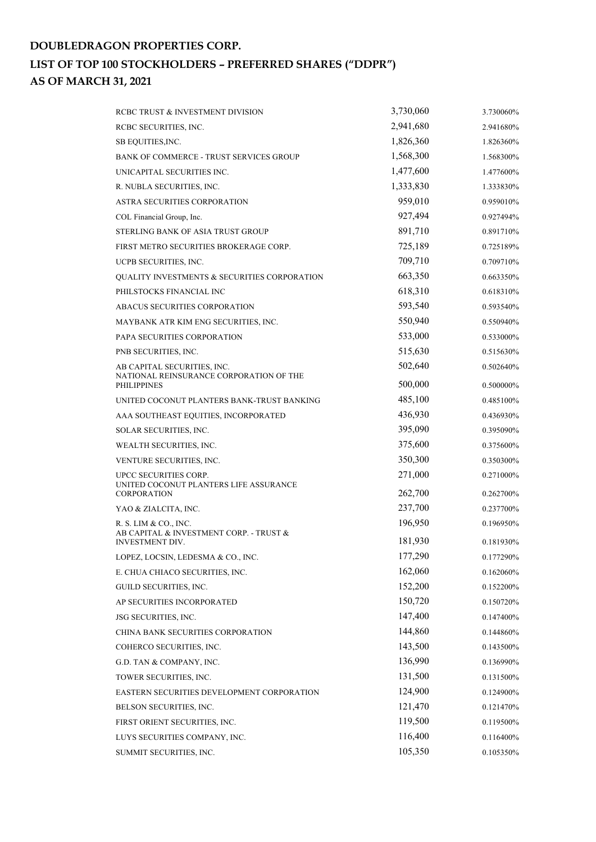| RCBC TRUST & INVESTMENT DIVISION                              | 3,730,060 | 3.730060% |
|---------------------------------------------------------------|-----------|-----------|
| RCBC SECURITIES, INC.                                         | 2,941,680 | 2.941680% |
| SB EQUITIES, INC.                                             | 1,826,360 | 1.826360% |
| BANK OF COMMERCE - TRUST SERVICES GROUP                       | 1,568,300 | 1.568300% |
| UNICAPITAL SECURITIES INC.                                    | 1,477,600 | 1.477600% |
| R. NUBLA SECURITIES, INC.                                     | 1,333,830 | 1.333830% |
| ASTRA SECURITIES CORPORATION                                  | 959,010   | 0.959010% |
| COL Financial Group, Inc.                                     | 927,494   | 0.927494% |
| STERLING BANK OF ASIA TRUST GROUP                             | 891,710   | 0.891710% |
| FIRST METRO SECURITIES BROKERAGE CORP.                        | 725,189   | 0.725189% |
| UCPB SECURITIES, INC.                                         | 709,710   | 0.709710% |
| <b>QUALITY INVESTMENTS &amp; SECURITIES CORPORATION</b>       | 663,350   | 0.663350% |
| PHILSTOCKS FINANCIAL INC                                      | 618,310   | 0.618310% |
| ABACUS SECURITIES CORPORATION                                 | 593,540   | 0.593540% |
| MAYBANK ATR KIM ENG SECURITIES, INC.                          | 550,940   | 0.550940% |
| PAPA SECURITIES CORPORATION                                   | 533,000   | 0.533000% |
| PNB SECURITIES, INC.                                          | 515,630   | 0.515630% |
| AB CAPITAL SECURITIES, INC.                                   | 502,640   | 0.502640% |
| NATIONAL REINSURANCE CORPORATION OF THE<br><b>PHILIPPINES</b> | 500,000   | 0.500000% |
| UNITED COCONUT PLANTERS BANK-TRUST BANKING                    | 485,100   | 0.485100% |
| AAA SOUTHEAST EQUITIES, INCORPORATED                          | 436,930   | 0.436930% |
| SOLAR SECURITIES, INC.                                        | 395,090   | 0.395090% |
| WEALTH SECURITIES, INC.                                       | 375,600   | 0.375600% |
| VENTURE SECURITIES, INC.                                      | 350,300   | 0.350300% |
| UPCC SECURITIES CORP.                                         | 271,000   | 0.271000% |
| UNITED COCONUT PLANTERS LIFE ASSURANCE<br><b>CORPORATION</b>  | 262,700   | 0.262700% |
| YAO & ZIALCITA, INC.                                          | 237,700   | 0.237700% |
| R. S. LIM & CO., INC.                                         | 196,950   | 0.196950% |
| AB CAPITAL & INVESTMENT CORP. - TRUST &                       |           |           |
| <b>INVESTMENT DIV.</b>                                        | 181,930   | 0.181930% |
| LOPEZ, LOCSIN, LEDESMA & CO., INC.                            | 177,290   | 0.177290% |
| E. CHUA CHIACO SECURITIES, INC.                               | 162,060   | 0.162060% |
| GUILD SECURITIES, INC.                                        | 152,200   | 0.152200% |
| AP SECURITIES INCORPORATED                                    | 150,720   | 0.150720% |
| JSG SECURITIES, INC.                                          | 147,400   | 0.147400% |
| CHINA BANK SECURITIES CORPORATION                             | 144,860   | 0.144860% |
| COHERCO SECURITIES, INC.                                      | 143,500   | 0.143500% |
| G.D. TAN & COMPANY, INC.                                      | 136,990   | 0.136990% |
| TOWER SECURITIES, INC.                                        | 131,500   | 0.131500% |
| EASTERN SECURITIES DEVELOPMENT CORPORATION                    | 124,900   | 0.124900% |
| BELSON SECURITIES, INC.                                       | 121,470   | 0.121470% |
| FIRST ORIENT SECURITIES, INC.                                 | 119,500   | 0.119500% |
| LUYS SECURITIES COMPANY, INC.                                 | 116,400   | 0.116400% |
| SUMMIT SECURITIES, INC.                                       | 105,350   | 0.105350% |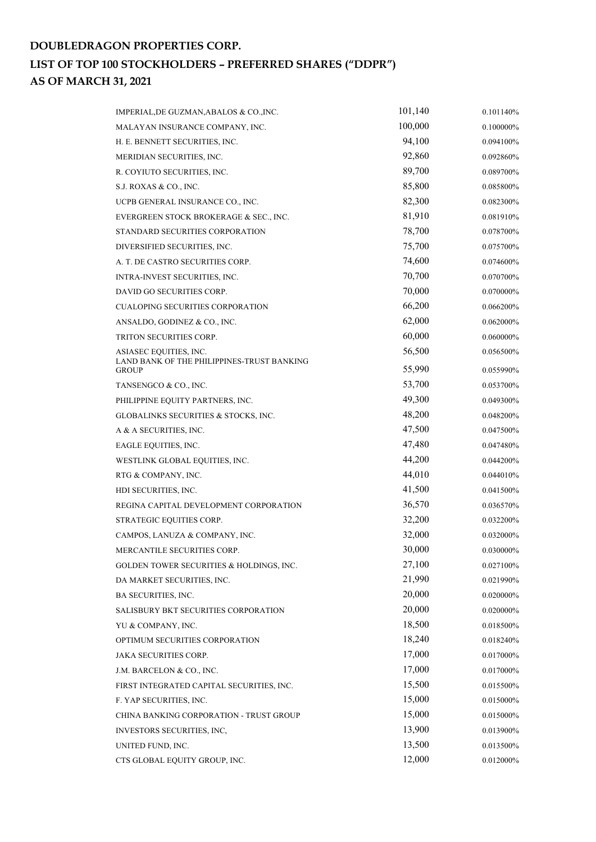| IMPERIAL, DE GUZMAN, ABALOS & CO., INC.                    | 101,140 | 0.101140% |
|------------------------------------------------------------|---------|-----------|
| MALAYAN INSURANCE COMPANY, INC.                            | 100,000 | 0.100000% |
| H. E. BENNETT SECURITIES, INC.                             | 94,100  | 0.094100% |
| MERIDIAN SECURITIES, INC.                                  | 92,860  | 0.092860% |
| R. COYIUTO SECURITIES, INC.                                | 89,700  | 0.089700% |
| S.J. ROXAS & CO., INC.                                     | 85,800  | 0.085800% |
| UCPB GENERAL INSURANCE CO., INC.                           | 82,300  | 0.082300% |
| EVERGREEN STOCK BROKERAGE & SEC., INC.                     | 81,910  | 0.081910% |
| STANDARD SECURITIES CORPORATION                            | 78,700  | 0.078700% |
| DIVERSIFIED SECURITIES, INC.                               | 75,700  | 0.075700% |
| A. T. DE CASTRO SECURITIES CORP.                           | 74,600  | 0.074600% |
| INTRA-INVEST SECURITIES, INC.                              | 70,700  | 0.070700% |
| DAVID GO SECURITIES CORP.                                  | 70,000  | 0.070000% |
| <b>CUALOPING SECURITIES CORPORATION</b>                    | 66,200  | 0.066200% |
| ANSALDO, GODINEZ & CO., INC.                               | 62,000  | 0.062000% |
| TRITON SECURITIES CORP.                                    | 60,000  | 0.060000% |
| ASIASEC EQUITIES, INC.                                     | 56,500  | 0.056500% |
| LAND BANK OF THE PHILIPPINES-TRUST BANKING<br><b>GROUP</b> | 55,990  | 0.055990% |
| TANSENGCO & CO., INC.                                      | 53,700  | 0.053700% |
| PHILIPPINE EQUITY PARTNERS, INC.                           | 49,300  | 0.049300% |
| GLOBALINKS SECURITIES & STOCKS, INC.                       | 48,200  | 0.048200% |
| A & A SECURITIES, INC.                                     | 47,500  | 0.047500% |
| EAGLE EQUITIES, INC.                                       | 47,480  | 0.047480% |
| WESTLINK GLOBAL EQUITIES, INC.                             | 44,200  | 0.044200% |
| RTG & COMPANY, INC.                                        | 44,010  | 0.044010% |
| HDI SECURITIES, INC.                                       | 41,500  | 0.041500% |
| REGINA CAPITAL DEVELOPMENT CORPORATION                     | 36,570  | 0.036570% |
| STRATEGIC EQUITIES CORP.                                   | 32,200  | 0.032200% |
| CAMPOS, LANUZA & COMPANY, INC.                             | 32,000  | 0.032000% |
| MERCANTILE SECURITIES CORP.                                | 30,000  | 0.030000% |
| <b>GOLDEN TOWER SECURITIES &amp; HOLDINGS, INC.</b>        | 27,100  | 0.027100% |
| DA MARKET SECURITIES, INC.                                 | 21,990  | 0.021990% |
| <b>BA SECURITIES, INC.</b>                                 | 20,000  | 0.020000% |
| SALISBURY BKT SECURITIES CORPORATION                       | 20,000  | 0.020000% |
| YU & COMPANY, INC.                                         | 18,500  | 0.018500% |
| OPTIMUM SECURITIES CORPORATION                             | 18,240  | 0.018240% |
| JAKA SECURITIES CORP.                                      | 17,000  | 0.017000% |
| J.M. BARCELON & CO., INC.                                  | 17,000  | 0.017000% |
| FIRST INTEGRATED CAPITAL SECURITIES, INC.                  | 15,500  | 0.015500% |
| F. YAP SECURITIES, INC.                                    | 15,000  | 0.015000% |
| CHINA BANKING CORPORATION - TRUST GROUP                    | 15,000  | 0.015000% |
| INVESTORS SECURITIES, INC,                                 | 13,900  | 0.013900% |
| UNITED FUND, INC.                                          | 13,500  | 0.013500% |
| CTS GLOBAL EQUITY GROUP, INC.                              | 12,000  | 0.012000% |